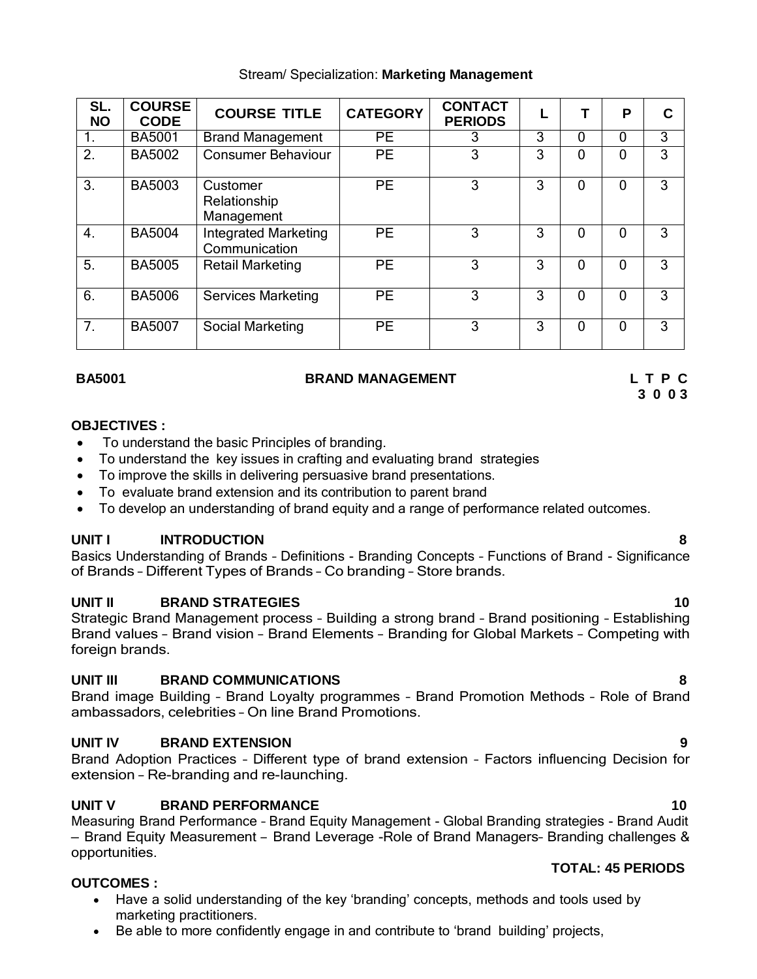| SL.              | <b>COURSE</b> |                                              |                 | <b>CONTACT</b> |   |          |          |   |
|------------------|---------------|----------------------------------------------|-----------------|----------------|---|----------|----------|---|
| <b>NO</b>        | <b>CODE</b>   | <b>COURSE TITLE</b>                          | <b>CATEGORY</b> | <b>PERIODS</b> |   |          | P        | C |
| 1.               | <b>BA5001</b> | <b>Brand Management</b>                      | $\overline{PE}$ | 3              | 3 | 0        | 0        | 3 |
| $\overline{2}$ . | <b>BA5002</b> | <b>Consumer Behaviour</b>                    | <b>PE</b>       | 3              | 3 | $\Omega$ | $\Omega$ | 3 |
| $\overline{3}$ . | <b>BA5003</b> | Customer<br>Relationship<br>Management       | <b>PE</b>       | 3              | 3 | 0        | $\Omega$ | 3 |
| $\overline{4}$ . | <b>BA5004</b> | <b>Integrated Marketing</b><br>Communication | <b>PE</b>       | 3              | 3 | 0        | $\Omega$ | 3 |
| $\overline{5}$ . | <b>BA5005</b> | <b>Retail Marketing</b>                      | <b>PE</b>       | 3              | 3 | 0        | $\Omega$ | 3 |
| $\overline{6}$ . | <b>BA5006</b> | <b>Services Marketing</b>                    | <b>PE</b>       | 3              | 3 | 0        | $\Omega$ | 3 |
| $\overline{7}$ . | <b>BA5007</b> | Social Marketing                             | <b>PE</b>       | 3              | 3 | 0        | $\Omega$ | 3 |

# Stream/ Specialization: **Marketing Management**

### **BA5001 BRAND MANAGEMENT L T P C**

### **OBJECTIVES :**

- To understand the basic Principles of branding.
- To understand the key issues in crafting and evaluating brand strategies
- To improve the skills in delivering persuasive brand presentations.
- To evaluate brand extension and its contribution to parent brand
- To develop an understanding of brand equity and a range of performance related outcomes.

# **UNIT I INTRODUCTION 8**

Basics Understanding of Brands – Definitions - Branding Concepts – Functions of Brand - Significance of Brands – Different Types of Brands – Co branding – Store brands.

# **UNIT II BRAND STRATEGIES 10**

Strategic Brand Management process – Building a strong brand – Brand positioning – Establishing Brand values – Brand vision – Brand Elements – Branding for Global Markets – Competing with foreign brands.

# **UNIT III BRAND COMMUNICATIONS 8**

Brand image Building – Brand Loyalty programmes – Brand Promotion Methods – Role of Brand ambassadors, celebrities – On line Brand Promotions.

# **UNIT IV BRAND EXTENSION 9**

Brand Adoption Practices – Different type of brand extension – Factors influencing Decision for extension – Re-branding and re-launching.

# **UNIT V BRAND PERFORMANCE 10**

Measuring Brand Performance – Brand Equity Management - Global Branding strategies - Brand Audit – Brand Equity Measurement – Brand Leverage -Role of Brand Managers– Branding challenges & opportunities. **TOTAL: 45 PERIODS**

# **OUTCOMES :**

- Have a solid understanding of the key 'branding' concepts, methods and tools used by marketing practitioners.
- Be able to more confidently engage in and contribute to 'brand building' projects,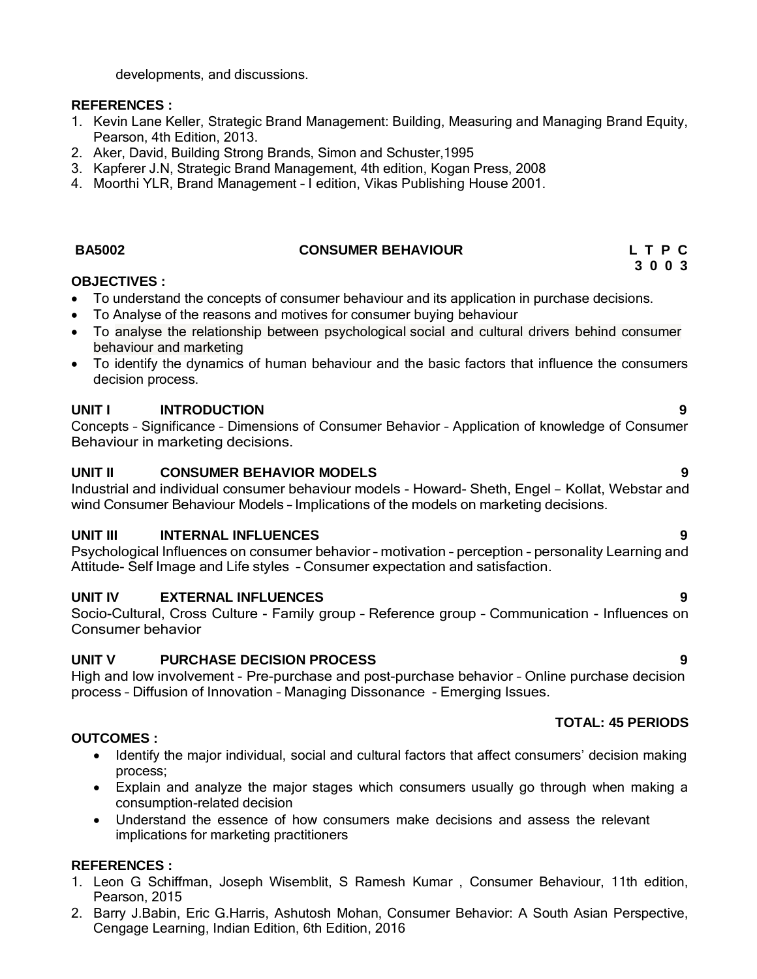developments, and discussions.

# **REFERENCES :**

- 1. Kevin Lane Keller, Strategic Brand Management: Building, Measuring and Managing Brand Equity, Pearson, 4th Edition, 2013.
- 2. Aker, David, Building Strong Brands, Simon and Schuster,1995
- 3. Kapferer J.N, Strategic Brand Management, 4th edition, Kogan Press, 2008
- 4. Moorthi YLR, Brand Management I edition, Vikas Publishing House 2001.

# **BA5002 CONSUMER BEHAVIOUR L T P C**

# **OBJECTIVES :**

- To understand the concepts of consumer behaviour and its application in purchase decisions.
- To Analyse of the reasons and motives for consumer buying behaviour
- To analyse the relationship between psychological social and cultural drivers behind consumer behaviour and marketing
- To identify the dynamics of human behaviour and the basic factors that influence the consumers decision process.

# **UNIT I INTRODUCTION 9**

Concepts – Significance – Dimensions of Consumer Behavior – Application of knowledge of Consumer Behaviour in marketing decisions.

# **UNIT II CONSUMER BEHAVIOR MODELS 9**

Industrial and individual consumer behaviour models - Howard- Sheth, Engel – Kollat, Webstar and wind Consumer Behaviour Models – Implications of the models on marketing decisions.

# **UNIT III INTERNAL INFLUENCES 9**

Psychological Influences on consumer behavior – motivation – perception – personality Learning and Attitude- Self Image and Life styles – Consumer expectation and satisfaction.

# **UNIT IV EXTERNAL INFLUENCES 9**

Socio-Cultural, Cross Culture - Family group – Reference group – Communication - Influences on Consumer behavior

# **UNIT V PURCHASE DECISION PROCESS 9**

High and low involvement - Pre-purchase and post-purchase behavior – Online purchase decision process – Diffusion of Innovation – Managing Dissonance - Emerging Issues.

# **TOTAL: 45 PERIODS**

# **OUTCOMES :**

- Identify the major individual, social and cultural factors that affect consumers' decision making process;
- Explain and analyze the major stages which consumers usually go through when making a consumption-related decision
- Understand the essence of how consumers make decisions and assess the relevant implications for marketing practitioners

# **REFERENCES :**

- 1. Leon G Schiffman, Joseph Wisemblit, S Ramesh Kumar , Consumer Behaviour, 11th edition, Pearson, 2015
- 2. Barry J.Babin, Eric G.Harris, Ashutosh Mohan, Consumer Behavior: A South Asian Perspective, Cengage Learning, Indian Edition, 6th Edition, 2016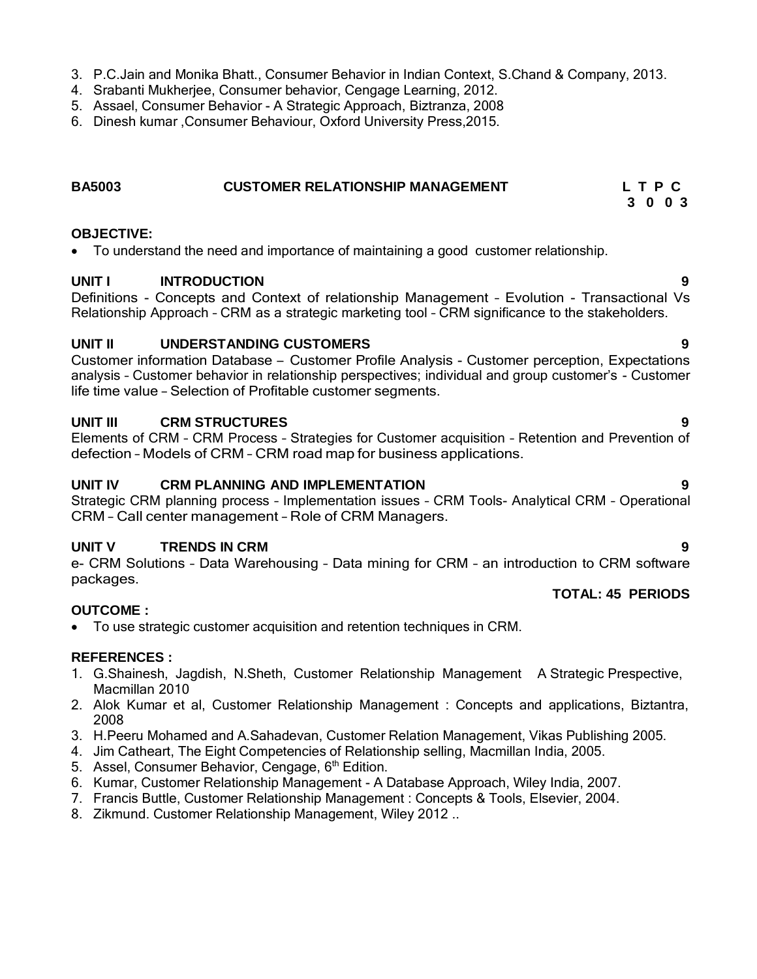- 3. P.C.Jain and Monika Bhatt., Consumer Behavior in Indian Context, S.Chand & Company, 2013.
- 4. Srabanti Mukherjee, Consumer behavior, Cengage Learning, 2012.
- 5. Assael, Consumer Behavior A Strategic Approach, Biztranza, 2008
- 6. Dinesh kumar ,Consumer Behaviour, Oxford University Press,2015.

# **BA5003 CUSTOMER RELATIONSHIP MANAGEMENT L T P C**

# **OBJECTIVE:**

To understand the need and importance of maintaining a good customer relationship.

### **UNIT I INTRODUCTION 9**

Definitions - Concepts and Context of relationship Management – Evolution - Transactional Vs Relationship Approach – CRM as a strategic marketing tool – CRM significance to the stakeholders.

### **UNIT II UNDERSTANDING CUSTOMERS 9**

Customer information Database – Customer Profile Analysis - Customer perception, Expectations analysis – Customer behavior in relationship perspectives; individual and group customer's - Customer life time value – Selection of Profitable customer segments.

### **UNIT III CRM STRUCTURES 9**

Elements of CRM – CRM Process – Strategies for Customer acquisition – Retention and Prevention of defection – Models of CRM – CRM road map for business applications.

### **UNIT IV CRM PLANNING AND IMPLEMENTATION 9**

Strategic CRM planning process – Implementation issues – CRM Tools- Analytical CRM – Operational CRM – Call center management – Role of CRM Managers.

# **UNIT V TRENDS IN CRM 9**

e- CRM Solutions – Data Warehousing – Data mining for CRM – an introduction to CRM software packages. **TOTAL: 45 PERIODS**

To use strategic customer acquisition and retention techniques in CRM.

#### **REFERENCES :**

**OUTCOME :**

- 1. G.Shainesh, Jagdish, N.Sheth, Customer Relationship Management A Strategic Prespective, Macmillan 2010
- 2. Alok Kumar et al, Customer Relationship Management : Concepts and applications, Biztantra, 2008
- 3. H.Peeru Mohamed and A.Sahadevan, Customer Relation Management, Vikas Publishing 2005.
- 4. Jim Catheart, The Eight Competencies of Relationship selling, Macmillan India, 2005.
- 5. Assel, Consumer Behavior, Cengage, 6<sup>th</sup> Edition.
- 6. Kumar, Customer Relationship Management A Database Approach, Wiley India, 2007.
- 7. Francis Buttle, Customer Relationship Management : Concepts & Tools, Elsevier, 2004.
- 8. Zikmund. Customer Relationship Management, Wiley 2012 ..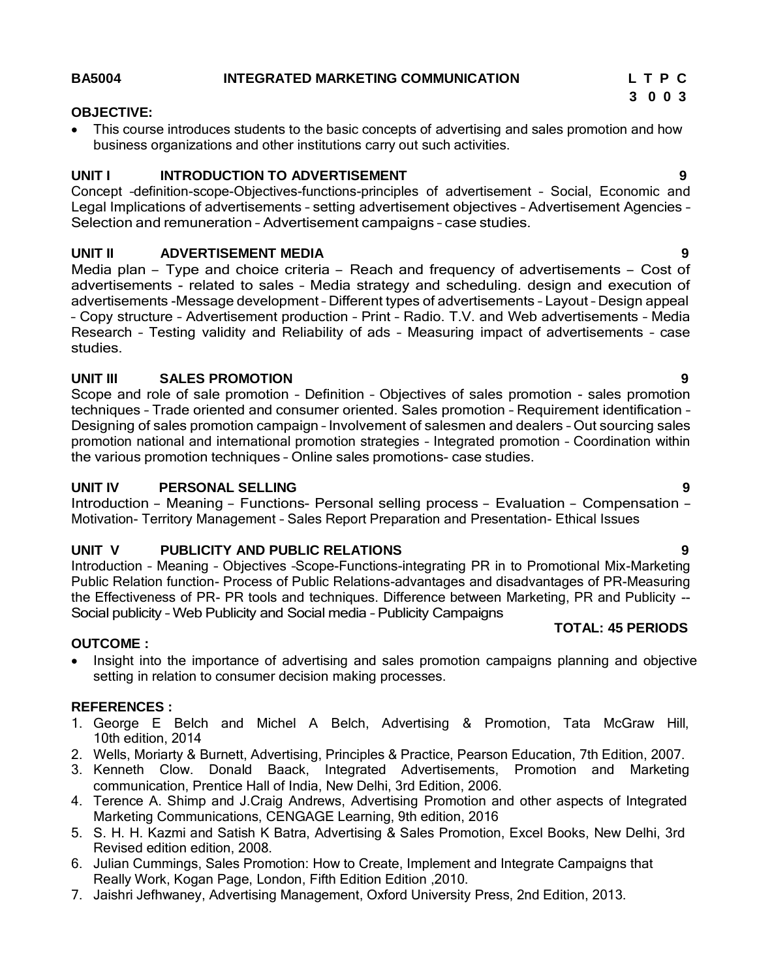#### **BA5004 INTEGRATED MARKETING COMMUNICATION L T P C**

# **3 0 0 3**

#### **OBJECTIVE:**

 This course introduces students to the basic concepts of advertising and sales promotion and how business organizations and other institutions carry out such activities.

# **UNIT I INTRODUCTION TO ADVERTISEMENT 9**

Concept –definition-scope-Objectives-functions-principles of advertisement – Social, Economic and Legal Implications of advertisements – setting advertisement objectives – Advertisement Agencies – Selection and remuneration – Advertisement campaigns – case studies.

# **UNIT II ADVERTISEMENT MEDIA 9**

Media plan – Type and choice criteria – Reach and frequency of advertisements – Cost of advertisements - related to sales – Media strategy and scheduling. design and execution of advertisements -Message development – Different types of advertisements – Layout – Design appeal – Copy structure – Advertisement production – Print – Radio. T.V. and Web advertisements – Media Research – Testing validity and Reliability of ads – Measuring impact of advertisements – case studies.

# **UNIT III SALES PROMOTION 9**

Scope and role of sale promotion – Definition – Objectives of sales promotion - sales promotion techniques – Trade oriented and consumer oriented. Sales promotion – Requirement identification – Designing of sales promotion campaign – Involvement of salesmen and dealers – Out sourcing sales promotion national and international promotion strategies – Integrated promotion – Coordination within the various promotion techniques – Online sales promotions- case studies.

# **UNIT IV PERSONAL SELLING 9**

Introduction – Meaning – Functions- Personal selling process – Evaluation – Compensation – Motivation- Territory Management – Sales Report Preparation and Presentation- Ethical Issues

# **UNIT V PUBLICITY AND PUBLIC RELATIONS 9**

Introduction – Meaning – Objectives –Scope-Functions-integrating PR in to Promotional Mix-Marketing Public Relation function- Process of Public Relations-advantages and disadvantages of PR-Measuring the Effectiveness of PR- PR tools and techniques. Difference between Marketing, PR and Publicity -- Social publicity – Web Publicity and Social media – Publicity Campaigns **TOTAL: 45 PERIODS**

# **OUTCOME :**

• Insight into the importance of advertising and sales promotion campaigns planning and objective setting in relation to consumer decision making processes.

# **REFERENCES :**

- 1. George E Belch and Michel A Belch, Advertising & Promotion, Tata McGraw Hill, 10th edition, 2014
- 2. Wells, Moriarty & Burnett, Advertising, Principles & Practice, Pearson Education, 7th Edition, 2007.
- 3. Kenneth Clow. Donald Baack, Integrated Advertisements, Promotion and Marketing communication, Prentice Hall of India, New Delhi, 3rd Edition, 2006.
- 4. Terence A. Shimp and J.Craig Andrews, Advertising Promotion and other aspects of Integrated Marketing Communications, CENGAGE Learning, 9th edition, 2016
- 5. S. H. H. Kazmi and Satish K Batra, Advertising & Sales Promotion, Excel Books, New Delhi, 3rd Revised edition edition, 2008.
- 6. Julian Cummings, Sales Promotion: How to Create, Implement and Integrate Campaigns that Really Work, Kogan Page, London, Fifth Edition Edition ,2010.
- 7. Jaishri Jefhwaney, Advertising Management, Oxford University Press, 2nd Edition, 2013.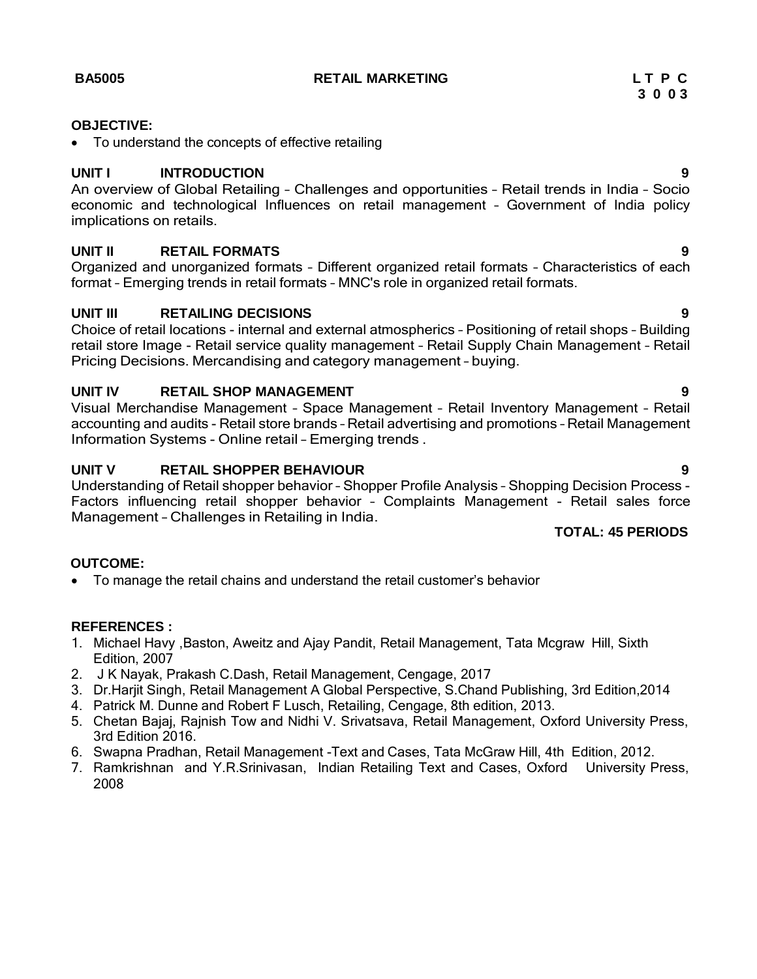**BA5005 RETAIL MARKETING L T P C**

• To understand the concepts of effective retailing

### **UNIT I INTRODUCTION 9**

An overview of Global Retailing – Challenges and opportunities – Retail trends in India – Socio economic and technological Influences on retail management – Government of India policy implications on retails.

# **UNIT II RETAIL FORMATS 9**

Organized and unorganized formats – Different organized retail formats – Characteristics of each format – Emerging trends in retail formats – MNC's role in organized retail formats.

### **UNIT III RETAILING DECISIONS 9**

Choice of retail locations - internal and external atmospherics – Positioning of retail shops – Building retail store Image - Retail service quality management – Retail Supply Chain Management – Retail Pricing Decisions. Mercandising and category management – buying.

### **UNIT IV RETAIL SHOP MANAGEMENT 9**

Visual Merchandise Management – Space Management – Retail Inventory Management – Retail accounting and audits - Retail store brands – Retail advertising and promotions – Retail Management Information Systems - Online retail – Emerging trends .

# **UNIT V RETAIL SHOPPER BEHAVIOUR 9**

Understanding of Retail shopper behavior – Shopper Profile Analysis – Shopping Decision Process - Factors influencing retail shopper behavior – Complaints Management - Retail sales force Management – Challenges in Retailing in India.

# **TOTAL: 45 PERIODS**

#### **OUTCOME:**

To manage the retail chains and understand the retail customer's behavior

#### **REFERENCES :**

- 1. Michael Havy ,Baston, Aweitz and Ajay Pandit, Retail Management, Tata Mcgraw Hill, Sixth Edition, 2007
- 2. J K Nayak, Prakash C.Dash, Retail Management, Cengage, 2017
- 3. Dr.Harjit Singh, Retail Management A Global Perspective, S.Chand Publishing, 3rd Edition,2014
- 4. Patrick M. Dunne and Robert F Lusch, Retailing, Cengage, 8th edition, 2013.
- 5. Chetan Bajaj, Rajnish Tow and Nidhi V. Srivatsava, Retail Management, Oxford University Press, 3rd Edition 2016.
- 6. Swapna Pradhan, Retail Management -Text and Cases, Tata McGraw Hill, 4th Edition, 2012.
- 7. Ramkrishnan and Y.R.Srinivasan, Indian Retailing Text and Cases, Oxford University Press, 2008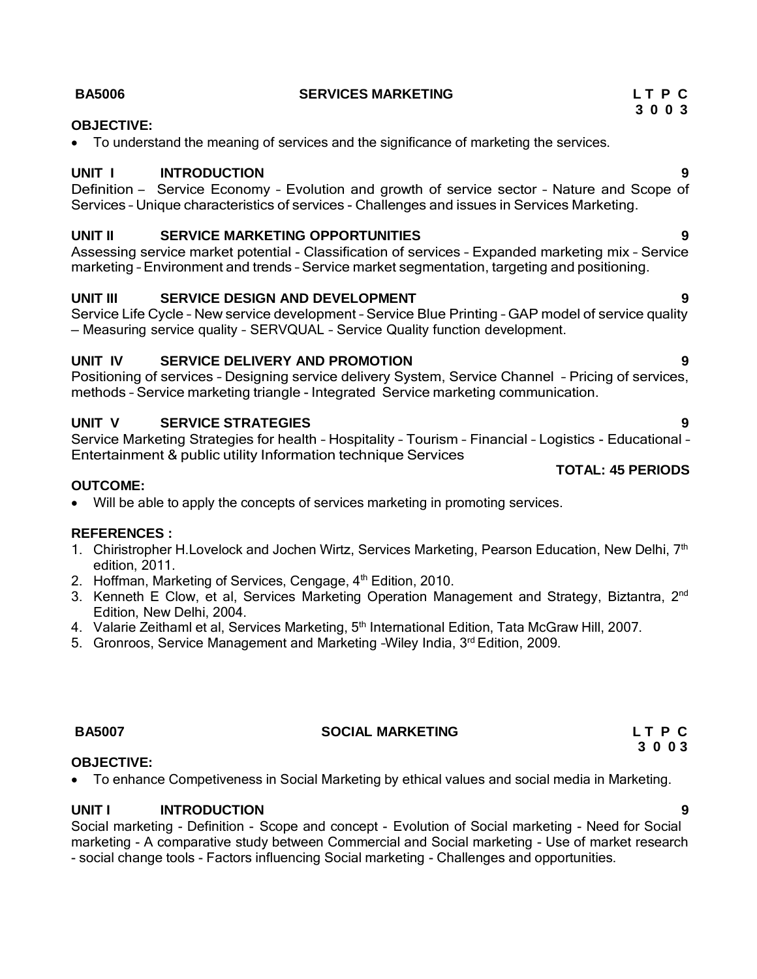### **BA5006 SERVICES MARKETING L T P C**

### **OBJECTIVE:**

To understand the meaning of services and the significance of marketing the services.

### **UNIT I INTRODUCTION 9**

Definition – Service Economy – Evolution and growth of service sector – Nature and Scope of Services – Unique characteristics of services - Challenges and issues in Services Marketing.

#### **UNIT II SERVICE MARKETING OPPORTUNITIES 9**

Assessing service market potential - Classification of services – Expanded marketing mix – Service marketing – Environment and trends – Service market segmentation, targeting and positioning.

# **UNIT III SERVICE DESIGN AND DEVELOPMENT 9**

Service Life Cycle – New service development – Service Blue Printing – GAP model of service quality – Measuring service quality – SERVQUAL – Service Quality function development.

# **UNIT IV SERVICE DELIVERY AND PROMOTION 9**

Positioning of services – Designing service delivery System, Service Channel – Pricing of services, methods – Service marketing triangle - Integrated Service marketing communication.

# **UNIT V SERVICE STRATEGIES 9**

Service Marketing Strategies for health – Hospitality – Tourism – Financial – Logistics - Educational – Entertainment & public utility Information technique Services

#### **OUTCOME:**

Will be able to apply the concepts of services marketing in promoting services.

#### **REFERENCES :**

- 1. Chiristropher H. Lovelock and Jochen Wirtz, Services Marketing, Pearson Education, New Delhi, 7<sup>th</sup> edition, 2011.
- 2. Hoffman, Marketing of Services, Cengage, 4<sup>th</sup> Edition, 2010.
- 3. Kenneth E Clow, et al, Services Marketing Operation Management and Strategy, Biztantra, 2<sup>nd</sup> Edition, New Delhi, 2004.
- 4. Valarie Zeithaml et al, Services Marketing, 5<sup>th</sup> International Edition, Tata McGraw Hill, 2007.
- 5. Gronroos, Service Management and Marketing -Wiley India, 3rd Edition, 2009.

**OBJECTIVE:**

#### **BA5007 SOCIAL MARKETING L T P C**

To enhance Competiveness in Social Marketing by ethical values and social media in Marketing.

#### **UNIT I INTRODUCTION 9**

Social marketing - Definition - Scope and concept - Evolution of Social marketing - Need for Social marketing - A comparative study between Commercial and Social marketing - Use of market research - social change tools - Factors influencing Social marketing - Challenges and opportunities.

**3 0 0 3**

# **TOTAL: 45 PERIODS**